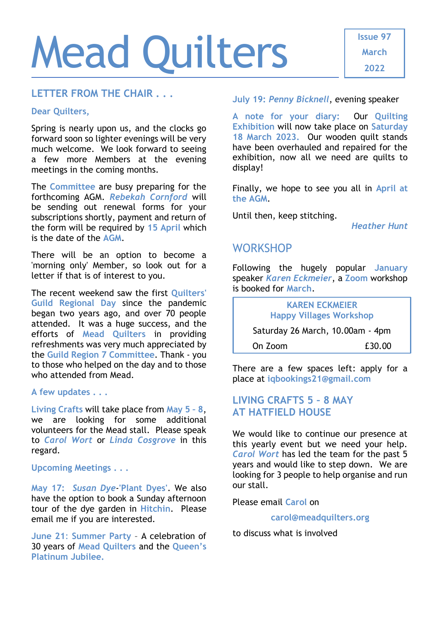# Mead Quilters

#### **LETTER FROM THE CHAIR . . .**

#### **Dear Quilters,**

Spring is nearly upon us, and the clocks go forward soon so lighter evenings will be very much welcome. We look forward to seeing a few more Members at the evening meetings in the coming months.

The **Committee** are busy preparing for the forthcoming AGM. *Rebekah Cornford* will be sending out renewal forms for your subscriptions shortly, payment and return of the form will be required by **15 April** which is the date of the **AGM**.

There will be an option to become a 'morning only' Member, so look out for a letter if that is of interest to you.

The recent weekend saw the first **Quilters' Guild Regional Day** since the pandemic began two years ago, and over 70 people attended. It was a huge success, and the efforts of **Mead Quilters** in providing refreshments was very much appreciated by the **Guild Region 7 Committee**. Thank - you to those who helped on the day and to those who attended from Mead.

**A few updates . . .**

**Living Crafts** will take place from **May 5 – 8**, we are looking for some additional volunteers for the Mead stall. Please speak to *Carol Wort* or *Linda Cosgrove* in this regard.

#### **Upcoming Meetings . . .**

**May 17:** *Susan Dye*-**'Plant Dyes'**. We also have the option to book a Sunday afternoon tour of the dye garden in **Hitchin**. Please email me if you are interested.

**June 21**: **Summer Party** – A celebration of 30 years of **Mead Quilters** and the **Queen's Platinum Jubilee.**

**July 19:** *Penny Bicknell*, evening speaker

**A note for your diary:** Our **Quilting Exhibition** will now take place on **Saturday 18 March 2023.** Our wooden quilt stands have been overhauled and repaired for the exhibition, now all we need are quilts to display!

Finally, we hope to see you all in **April at the AGM**.

Until then, keep stitching.

*Heather Hunt*

### **WORKSHOP**

Following the hugely popular **January** speaker *Karen Eckmeier*, a **Zoom** workshop is booked for **March**.

**KAREN ECKMEIER Happy Villages Workshop** Saturday 26 March, 10.00am - 4pm On Zoom £30.00

There are a few spaces left: apply for a

## place at **[iqbookings21@gmail.com](mailto:iqbookings21@gmail.com) LIVING CRAFTS 5 – 8 MAY**

# **AT HATFIELD HOUSE**

We would like to continue our presence at this yearly event but we need your help. *Carol Wort* has led the team for the past 5 years and would like to step down. We are looking for 3 people to help organise and run our stall.

Please email **Carol** on

#### **[carol@meadquilters.org](mailto:c.wort48@gmail.com)**

to discuss what is involved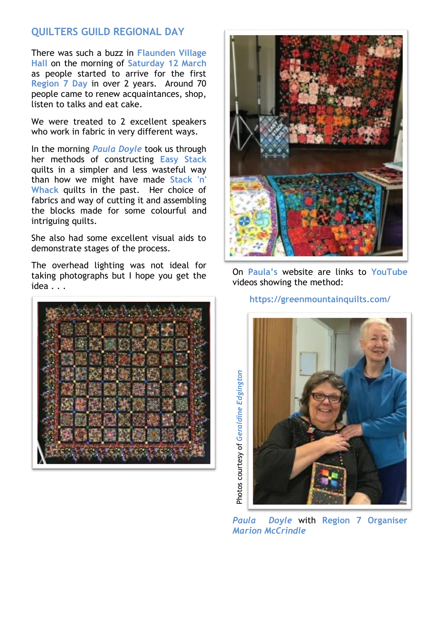#### **QUILTERS GUILD REGIONAL DAY**

There was such a buzz in **Flaunden Village Hall** on the morning of **Saturday 12 March** as people started to arrive for the first **Region 7 Day** in over 2 years. Around 70 people came to renew acquaintances, shop, listen to talks and eat cake.

We were treated to 2 excellent speakers who work in fabric in very different ways.

In the morning *Paula Doyle* took us through her methods of constructing **Easy Stack** quilts in a simpler and less wasteful way than how we might have made **Stack 'n' Whack** quilts in the past. Her choice of fabrics and way of cutting it and assembling the blocks made for some colourful and intriguing quilts.

She also had some excellent visual aids to demonstrate stages of the process.

The overhead lighting was not ideal for taking photographs but I hope you get the idea . . .





On **Paula's** website are links to **YouTube** videos showing the method:

#### **<https://greenmountainquilts.com/>**



*Paula Doyle* with **Region 7 Organiser**